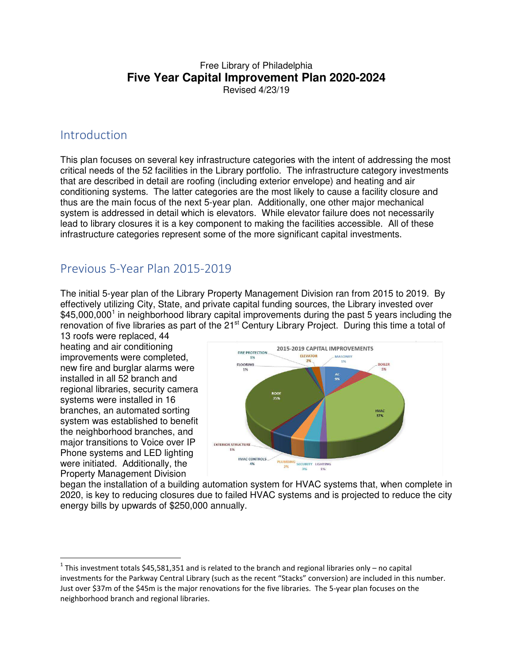## Free Library of Philadelphia **Five Year Capital Improvement Plan 2020-2024** Revised 4/23/19

## Introduction

This plan focuses on several key infrastructure categories with the intent of addressing the most critical needs of the 52 facilities in the Library portfolio. The infrastructure category investments that are described in detail are roofing (including exterior envelope) and heating and air conditioning systems. The latter categories are the most likely to cause a facility closure and thus are the main focus of the next 5-year plan. Additionally, one other major mechanical system is addressed in detail which is elevators. While elevator failure does not necessarily lead to library closures it is a key component to making the facilities accessible. All of these infrastructure categories represent some of the more significant capital investments.

## Previous 5-Year Plan 2015-2019

The initial 5-year plan of the Library Property Management Division ran from 2015 to 2019. By effectively utilizing City, State, and private capital funding sources, the Library invested over \$45,000,000<sup>[1](#page-0-0)</sup> in neighborhood library capital improvements during the past 5 years including the renovation of five libraries as part of the 21<sup>st</sup> Century Library Project. During this time a total of

13 roofs were replaced, 44 heating and air conditioning improvements were completed, new fire and burglar alarms were installed in all 52 branch and regional libraries, security camera systems were installed in 16 branches, an automated sorting system was established to benefit the neighborhood branches, and major transitions to Voice over IP Phone systems and LED lighting were initiated. Additionally, the Property Management Division

-



began the installation of a building automation system for HVAC systems that, when complete in 2020, is key to reducing closures due to failed HVAC systems and is projected to reduce the city energy bills by upwards of \$250,000 annually.

<span id="page-0-0"></span><sup>&</sup>lt;sup>1</sup> This investment totals \$45,581,351 and is related to the branch and regional libraries only – no capital investments for the Parkway Central Library (such as the recent "Stacks" conversion) are included in this number. Just over \$37m of the \$45m is the major renovations for the five libraries. The 5-year plan focuses on the neighborhood branch and regional libraries.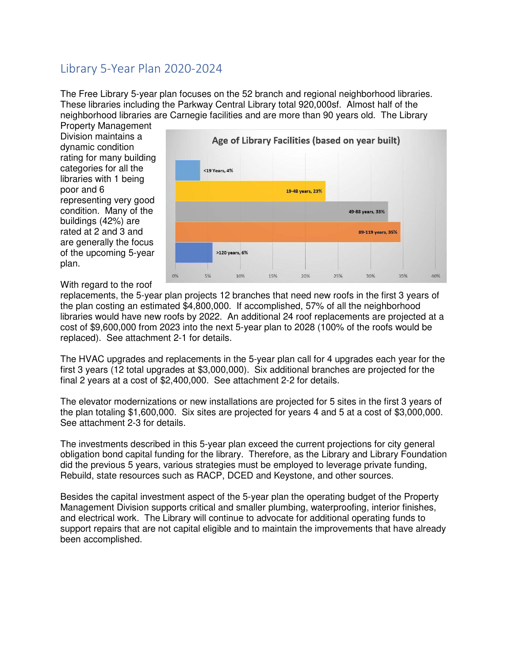## Library 5-Year Plan 2020-2024

The Free Library 5-year plan focuses on the 52 branch and regional neighborhood libraries. These libraries including the Parkway Central Library total 920,000sf. Almost half of the neighborhood libraries are Carnegie facilities and are more than 90 years old. The Library

Property Management Division maintains a dynamic condition rating for many building categories for all the libraries with 1 being poor and 6 representing very good condition. Many of the buildings (42%) are rated at 2 and 3 and are generally the focus of the upcoming 5-year plan.



With regard to the roof

replacements, the 5-year plan projects 12 branches that need new roofs in the first 3 years of the plan costing an estimated \$4,800,000. If accomplished, 57% of all the neighborhood libraries would have new roofs by 2022. An additional 24 roof replacements are projected at a cost of \$9,600,000 from 2023 into the next 5-year plan to 2028 (100% of the roofs would be replaced). See attachment 2-1 for details.

The HVAC upgrades and replacements in the 5-year plan call for 4 upgrades each year for the first 3 years (12 total upgrades at \$3,000,000). Six additional branches are projected for the final 2 years at a cost of \$2,400,000. See attachment 2-2 for details.

The elevator modernizations or new installations are projected for 5 sites in the first 3 years of the plan totaling \$1,600,000. Six sites are projected for years 4 and 5 at a cost of \$3,000,000. See attachment 2-3 for details.

The investments described in this 5-year plan exceed the current projections for city general obligation bond capital funding for the library. Therefore, as the Library and Library Foundation did the previous 5 years, various strategies must be employed to leverage private funding, Rebuild, state resources such as RACP, DCED and Keystone, and other sources.

Besides the capital investment aspect of the 5-year plan the operating budget of the Property Management Division supports critical and smaller plumbing, waterproofing, interior finishes, and electrical work. The Library will continue to advocate for additional operating funds to support repairs that are not capital eligible and to maintain the improvements that have already been accomplished.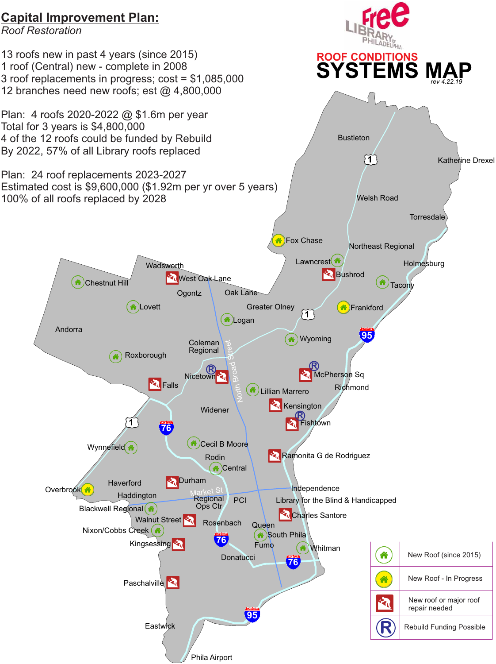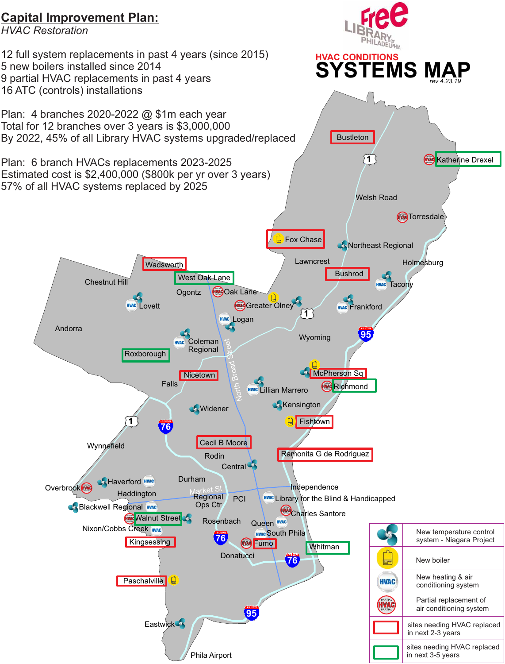